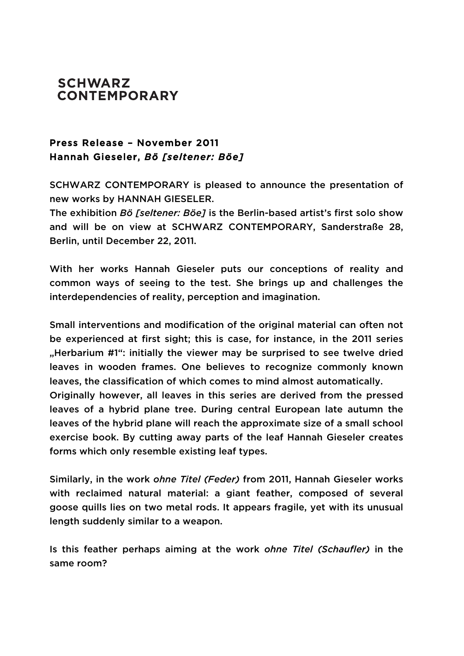## **SCHWARZ CONTEMPORARY**

## Press Release – November 2011 Hannah Gieseler, *Bö [seltener: Böe]*

SCHWARZ CONTEMPORARY is pleased to announce the presentation of new works by HANNAH GIESELER.

The exhibition *Bö [seltener: Böe]* is the Berlin-based artist's first solo show and will be on view at SCHWARZ CONTEMPORARY, Sanderstraße 28, Berlin, until December 22, 2011.

With her works Hannah Gieseler puts our conceptions of reality and common ways of seeing to the test. She brings up and challenges the interdependencies of reality, perception and imagination.

Small interventions and modification of the original material can often not be experienced at first sight; this is case, for instance, in the 2011 series "Herbarium #1": initially the viewer may be surprised to see twelve dried leaves in wooden frames. One believes to recognize commonly known leaves, the classification of which comes to mind almost automatically.

Originally however, all leaves in this series are derived from the pressed leaves of a hybrid plane tree. During central European late autumn the leaves of the hybrid plane will reach the approximate size of a small school exercise book. By cutting away parts of the leaf Hannah Gieseler creates forms which only resemble existing leaf types.

Similarly, in the work *ohne Titel (Feder)* from 2011, Hannah Gieseler works with reclaimed natural material: a giant feather, composed of several goose quills lies on two metal rods. It appears fragile, yet with its unusual length suddenly similar to a weapon.

Is this feather perhaps aiming at the work *ohne Titel (Schaufler)* in the same room?